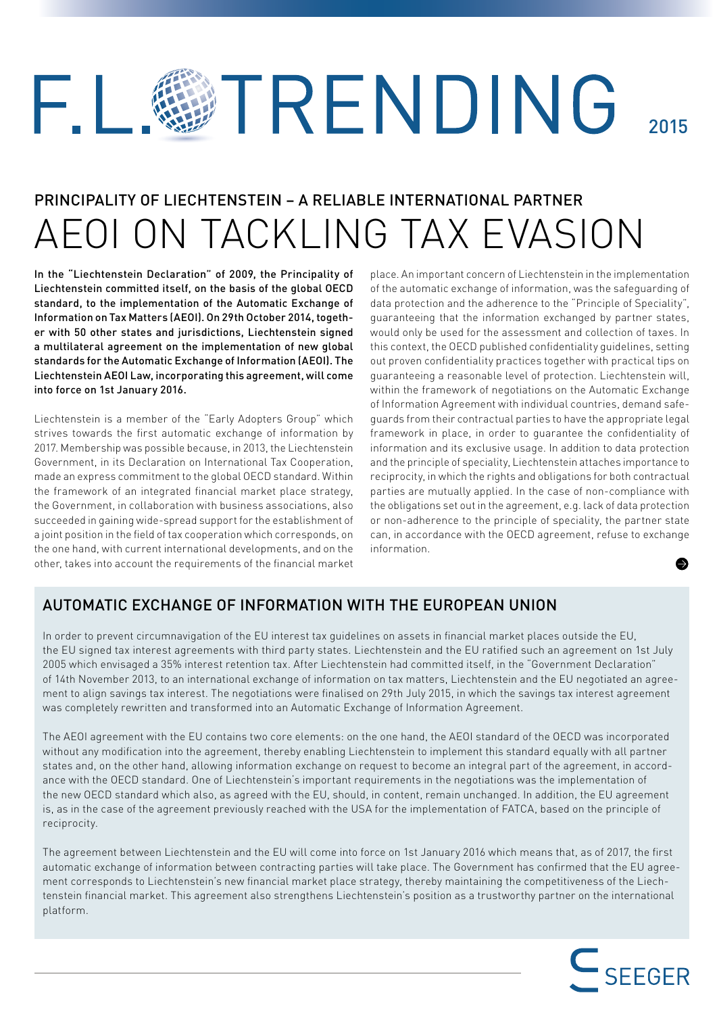## TRENDING FΙ 2015

# PRINCIPALITY OF LIECHTENSTEIN – A RELIABLE INTERNATIONAL PARTNER AEOI ON TACKLING TAX EVASION

In the "Liechtenstein Declaration" of 2009, the Principality of Liechtenstein committed itself, on the basis of the global OECD standard, to the implementation of the Automatic Exchange of Information on Tax Matters (AEOI). On 29th October 2014, together with 50 other states and jurisdictions, Liechtenstein signed a multilateral agreement on the implementation of new global standards for the Automatic Exchange of Information (AEOI). The Liechtenstein AEOI Law, incorporating this agreement, will come into force on 1st January 2016.

Liechtenstein is a member of the "Early Adopters Group" which strives towards the first automatic exchange of information by 2017. Membership was possible because, in 2013, the Liechtenstein Government, in its Declaration on International Tax Cooperation, made an express commitment to the global OECD standard. Within the framework of an integrated financial market place strategy, the Government, in collaboration with business associations, also succeeded in gaining wide-spread support for the establishment of a joint position in the field of tax cooperation which corresponds, on the one hand, with current international developments, and on the other, takes into account the requirements of the financial market

place. An important concern of Liechtenstein in the implementation of the automatic exchange of information, was the safeguarding of data protection and the adherence to the "Principle of Speciality", guaranteeing that the information exchanged by partner states, would only be used for the assessment and collection of taxes. In this context, the OECD published confidentiality guidelines, setting out proven confidentiality practices together with practical tips on guaranteeing a reasonable level of protection. Liechtenstein will, within the framework of negotiations on the Automatic Exchange of Information Agreement with individual countries, demand safeguards from their contractual parties to have the appropriate legal framework in place, in order to quarantee the confidentiality of information and its exclusive usage. In addition to data protection and the principle of speciality, Liechtenstein attaches importance to reciprocity, in which the rights and obligations for both contractual parties are mutually applied. In the case of non-compliance with the obligations set out in the agreement, e.g. lack of data protection or non-adherence to the principle of speciality, the partner state can, in accordance with the OECD agreement, refuse to exchange information.

## AUTOMATIC EXCHANGE OF INFORMATION WITH THE EUROPEAN UNION

In order to prevent circumnavigation of the EU interest tax guidelines on assets in financial market places outside the EU, the EU signed tax interest agreements with third party states. Liechtenstein and the EU ratified such an agreement on 1st July 2005 which envisaged a 35% interest retention tax. After Liechtenstein had committed itself, in the "Government Declaration" of 14th November 2013, to an international exchange of information on tax matters, Liechtenstein and the EU negotiated an agreement to align savings tax interest. The negotiations were finalised on 29th July 2015, in which the savings tax interest agreement was completely rewritten and transformed into an Automatic Exchange of Information Agreement.

The AEOI agreement with the EU contains two core elements: on the one hand, the AEOI standard of the OECD was incorporated without any modification into the agreement, thereby enabling Liechtenstein to implement this standard equally with all partner states and, on the other hand, allowing information exchange on request to become an integral part of the agreement, in accordance with the OECD standard. One of Liechtenstein's important requirements in the negotiations was the implementation of the new OECD standard which also, as agreed with the EU, should, in content, remain unchanged. In addition, the EU agreement is, as in the case of the agreement previously reached with the USA for the implementation of FATCA, based on the principle of reciprocity.

The agreement between Liechtenstein and the EU will come into force on 1st January 2016 which means that, as of 2017, the first automatic exchange of information between contracting parties will take place. The Government has confirmed that the EU agreement corresponds to Liechtenstein's new financial market place strategy, thereby maintaining the competitiveness of the Liechtenstein financial market. This agreement also strengthens Liechtenstein's position as a trustworthy partner on the international platform.

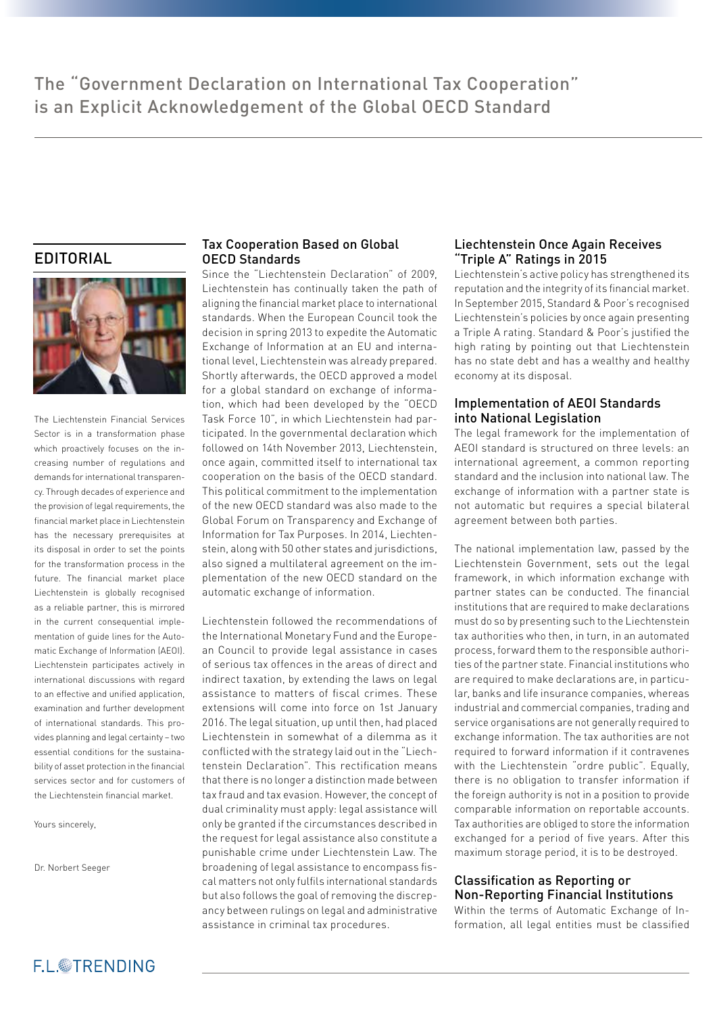## EDITORIAL



The Liechtenstein Financial Services Sector is in a transformation phase which proactively focuses on the increasing number of regulations and demands for international transparency. Through decades of experience and the provision of legal requirements, the financial market place in Liechtenstein has the necessary prerequisites at its disposal in order to set the points for the transformation process in the future. The financial market place Liechtenstein is globally recognised as a reliable partner, this is mirrored in the current consequential implementation of guide lines for the Automatic Exchange of Information (AEOI). Liechtenstein participates actively in international discussions with regard to an effective and unified application. examination and further development of international standards. This provides planning and legal certainty – two essential conditions for the sustainability of asset protection in the financial services sector and for customers of the Liechtenstein financial market.

Yours sincerely,

Dr. Norbert Seeger

#### Tax Cooperation Based on Global OECD Standards

Since the "Liechtenstein Declaration" of 2009, Liechtenstein has continually taken the path of aligning the financial market place to international standards. When the European Council took the decision in spring 2013 to expedite the Automatic Exchange of Information at an EU and international level, Liechtenstein was already prepared. Shortly afterwards, the OECD approved a model for a global standard on exchange of information, which had been developed by the "OECD Task Force 10", in which Liechtenstein had participated. In the governmental declaration which followed on 14th November 2013, Liechtenstein, once again, committed itself to international tax cooperation on the basis of the OECD standard. This political commitment to the implementation of the new OECD standard was also made to the Global Forum on Transparency and Exchange of Information for Tax Purposes. In 2014, Liechtenstein, along with 50 other states and jurisdictions, also signed a multilateral agreement on the implementation of the new OECD standard on the automatic exchange of information.

Liechtenstein followed the recommendations of the International Monetary Fund and the European Council to provide legal assistance in cases of serious tax offences in the areas of direct and indirect taxation, by extending the laws on legal assistance to matters of fiscal crimes. These extensions will come into force on 1st January 2016. The legal situation, up until then, had placed Liechtenstein in somewhat of a dilemma as it conflicted with the strategy laid out in the "Liechtenstein Declaration". This rectification means that there is no longer a distinction made between tax fraud and tax evasion. However, the concept of dual criminality must apply: legal assistance will only be granted if the circumstances described in the request for legal assistance also constitute a punishable crime under Liechtenstein Law. The broadening of legal assistance to encompass fiscal matters not only fulfils international standards but also follows the goal of removing the discrepancy between rulings on legal and administrative assistance in criminal tax procedures.

#### Liechtenstein Once Again Receives "Triple A" Ratings in 2015

Liechtenstein's active policy has strengthened its reputation and the integrity of its financial market. In September 2015, Standard & Poor's recognised Liechtenstein's policies by once again presenting a Triple A rating. Standard & Poor's justified the high rating by pointing out that Liechtenstein has no state debt and has a wealthy and healthy economy at its disposal.

#### Implementation of AEOI Standards into National Legislation

The legal framework for the implementation of AEOI standard is structured on three levels: an international agreement, a common reporting standard and the inclusion into national law. The exchange of information with a partner state is not automatic but requires a special bilateral agreement between both parties.

The national implementation law, passed by the Liechtenstein Government, sets out the legal framework, in which information exchange with partner states can be conducted. The financial institutions that are required to make declarations must do so by presenting such to the Liechtenstein tax authorities who then, in turn, in an automated process, forward them to the responsible authorities of the partner state. Financial institutions who are required to make declarations are, in particular, banks and life insurance companies, whereas industrial and commercial companies, trading and service organisations are not generally required to exchange information. The tax authorities are not required to forward information if it contravenes with the Liechtenstein "ordre public". Equally, there is no obligation to transfer information if the foreign authority is not in a position to provide comparable information on reportable accounts. Tax authorities are obliged to store the information exchanged for a period of five years. After this maximum storage period, it is to be destroyed.

#### Classification as Reporting or Non-Reporting Financial Institutions

Within the terms of Automatic Exchange of Information, all legal entities must be classified

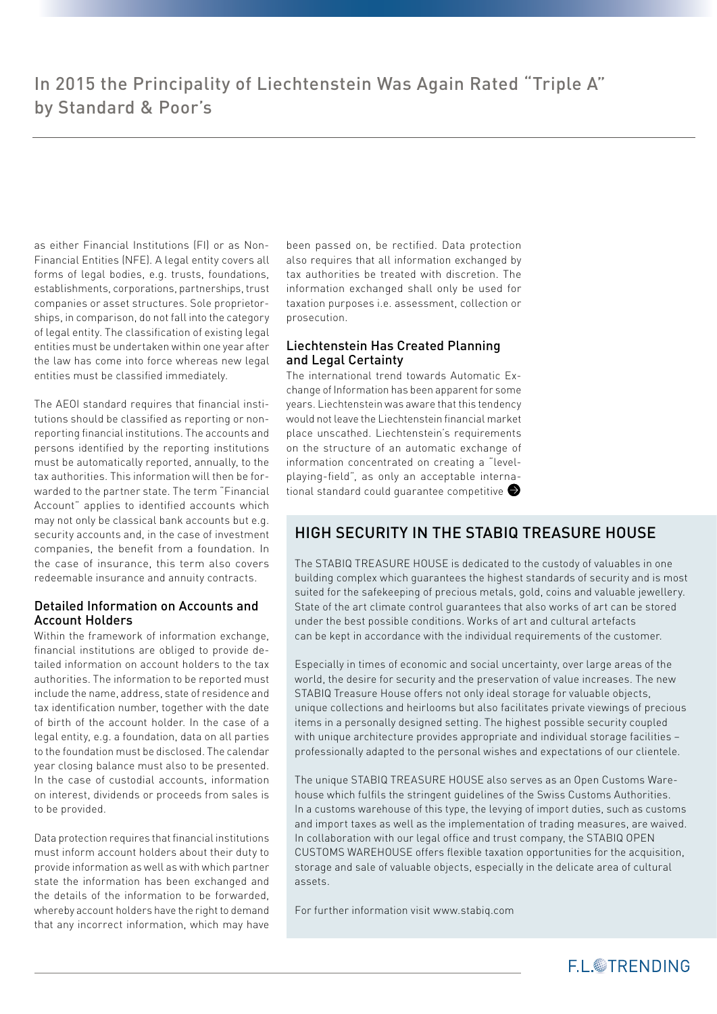as either Financial Institutions (FI) or as Non-Financial Entities (NFE). A legal entity covers all forms of legal bodies, e.g. trusts, foundations, establishments, corporations, partnerships, trust companies or asset structures. Sole proprietorships, in comparison, do not fall into the category of legal entity. The classification of existing legal entities must be undertaken within one year after the law has come into force whereas new legal entities must be classified immediately.

The AEOI standard requires that financial institutions should be classified as reporting or nonreporting financial institutions. The accounts and persons identified by the reporting institutions must be automatically reported, annually, to the tax authorities. This information will then be forwarded to the partner state. The term "Financial Account" applies to identified accounts which may not only be classical bank accounts but e.g. security accounts and, in the case of investment companies, the benefit from a foundation. In the case of insurance, this term also covers redeemable insurance and annuity contracts.

#### Detailed Information on Accounts and Account Holders

Within the framework of information exchange, financial institutions are obliged to provide detailed information on account holders to the tax authorities. The information to be reported must include the name, address, state of residence and tax identification number, together with the date of birth of the account holder. In the case of a legal entity, e.g. a foundation, data on all parties to the foundation must be disclosed. The calendar year closing balance must also to be presented. In the case of custodial accounts, information on interest, dividends or proceeds from sales is to be provided.

Data protection requires that financial institutions must inform account holders about their duty to provide information as well as with which partner state the information has been exchanged and the details of the information to be forwarded, whereby account holders have the right to demand that any incorrect information, which may have been passed on, be rectified. Data protection also requires that all information exchanged by tax authorities be treated with discretion. The information exchanged shall only be used for taxation purposes i.e. assessment, collection or prosecution.

#### Liechtenstein Has Created Planning and Legal Certainty

The international trend towards Automatic Exchange of Information has been apparent for some years. Liechtenstein was aware that this tendency would not leave the Liechtenstein financial market place unscathed. Liechtenstein's requirements on the structure of an automatic exchange of information concentrated on creating a "levelplaying-field", as only an acceptable international standard could quarantee competitive

## HIGH SECURITY IN THE STABIQ TREASURE HOUSE

The STABIQ TREASURE HOUSE is dedicated to the custody of valuables in one building complex which guarantees the highest standards of security and is most suited for the safekeeping of precious metals, gold, coins and valuable jewellery. State of the art climate control guarantees that also works of art can be stored under the best possible conditions. Works of art and cultural artefacts can be kept in accordance with the individual requirements of the customer.

Especially in times of economic and social uncertainty, over large areas of the world, the desire for security and the preservation of value increases. The new STABIQ Treasure House offers not only ideal storage for valuable objects, unique collections and heirlooms but also facilitates private viewings of precious items in a personally designed setting. The highest possible security coupled with unique architecture provides appropriate and individual storage facilities – professionally adapted to the personal wishes and expectations of our clientele.

The unique STABIQ TREASURE HOUSE also serves as an Open Customs Warehouse which fulfils the stringent guidelines of the Swiss Customs Authorities. In a customs warehouse of this type, the levying of import duties, such as customs and import taxes as well as the implementation of trading measures, are waived. In collaboration with our legal office and trust company, the STABIQ OPEN CUSTOMS WAREHOUSE offers flexible taxation opportunities for the acquisition. storage and sale of valuable objects, especially in the delicate area of cultural assets.

For further information visit www.stabiq.com